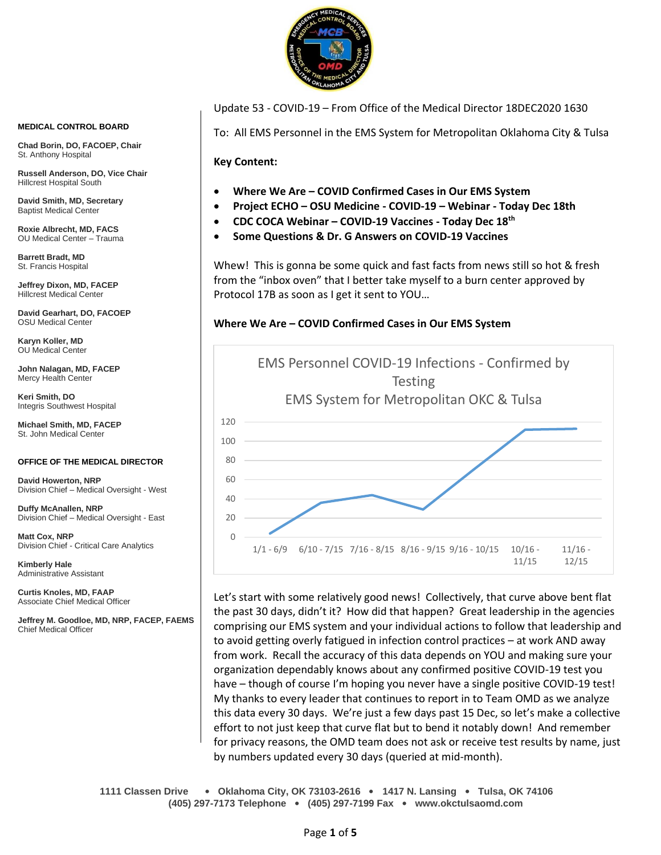

**MEDICAL CONTROL BOARD**

**Chad Borin, DO, FACOEP, Chair**  St. Anthony Hospital

**Russell Anderson, DO, Vice Chair** Hillcrest Hospital South

**David Smith, MD, Secretary** Baptist Medical Center

**Roxie Albrecht, MD, FACS** OU Medical Center – Trauma

**Barrett Bradt, MD** St. Francis Hospital

**Jeffrey Dixon, MD, FACEP** Hillcrest Medical Center

**David Gearhart, DO, FACOEP** OSU Medical Center

**Karyn Koller, MD** OU Medical Center

**John Nalagan, MD, FACEP** Mercy Health Center

**Keri Smith, DO** Integris Southwest Hospital

**Michael Smith, MD, FACEP** St. John Medical Center

#### **OFFICE OF THE MEDICAL DIRECTOR**

**David Howerton, NRP** Division Chief – Medical Oversight - West

**Duffy McAnallen, NRP** Division Chief – Medical Oversight - East

**Matt Cox, NRP** Division Chief - Critical Care Analytics

**Kimberly Hale** Administrative Assistant

**Curtis Knoles, MD, FAAP** Associate Chief Medical Officer

**Jeffrey M. Goodloe, MD, NRP, FACEP, FAEMS** Chief Medical Officer

Update 53 - COVID-19 – From Office of the Medical Director 18DEC2020 1630

To: All EMS Personnel in the EMS System for Metropolitan Oklahoma City & Tulsa

**Key Content:**

- **Where We Are – COVID Confirmed Cases in Our EMS System**
- **Project ECHO – OSU Medicine - COVID-19 – Webinar - Today Dec 18th**
- **CDC COCA Webinar – COVID-19 Vaccines - Today Dec 18th**
- **Some Questions & Dr. G Answers on COVID-19 Vaccines**

Whew! This is gonna be some quick and fast facts from news still so hot & fresh from the "inbox oven" that I better take myself to a burn center approved by Protocol 17B as soon as I get it sent to YOU…

#### **Where We Are – COVID Confirmed Cases in Our EMS System**



Let's start with some relatively good news! Collectively, that curve above bent flat the past 30 days, didn't it? How did that happen? Great leadership in the agencies comprising our EMS system and your individual actions to follow that leadership and to avoid getting overly fatigued in infection control practices – at work AND away from work. Recall the accuracy of this data depends on YOU and making sure your organization dependably knows about any confirmed positive COVID-19 test you have – though of course I'm hoping you never have a single positive COVID-19 test! My thanks to every leader that continues to report in to Team OMD as we analyze this data every 30 days. We're just a few days past 15 Dec, so let's make a collective effort to not just keep that curve flat but to bend it notably down! And remember for privacy reasons, the OMD team does not ask or receive test results by name, just by numbers updated every 30 days (queried at mid-month).

**1111 Classen Drive** • **Oklahoma City, OK 73103-2616** • **1417 N. Lansing** • **Tulsa, OK 74106 (405) 297-7173 Telephone** • **(405) 297-7199 Fax** • **www.okctulsaomd.com**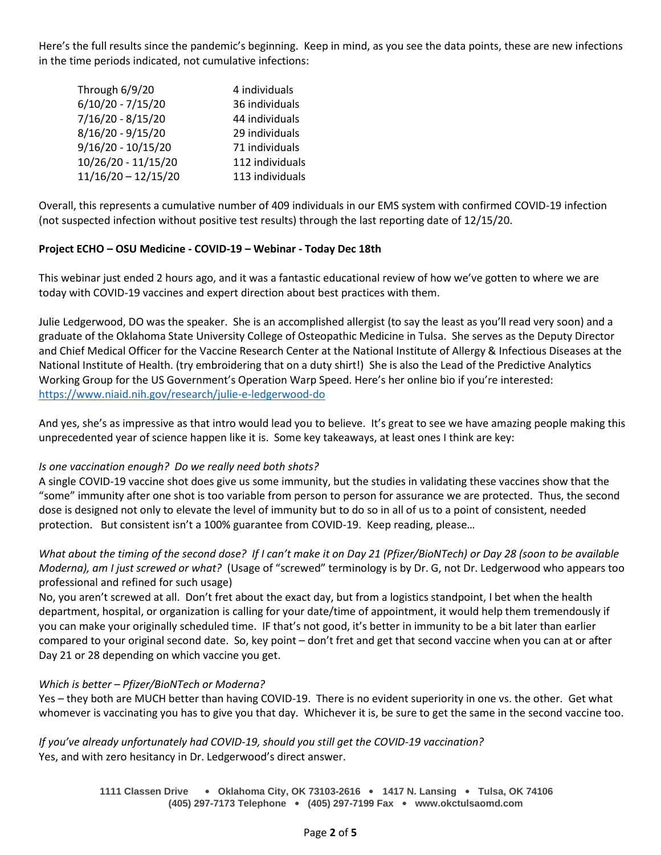Here's the full results since the pandemic's beginning. Keep in mind, as you see the data points, these are new infections in the time periods indicated, not cumulative infections:

| Through 6/9/20        | 4 individuals   |
|-----------------------|-----------------|
| $6/10/20 - 7/15/20$   | 36 individuals  |
| 7/16/20 - 8/15/20     | 44 individuals  |
| 8/16/20 - 9/15/20     | 29 individuals  |
| $9/16/20 - 10/15/20$  | 71 individuals  |
| 10/26/20 - 11/15/20   | 112 individuals |
| $11/16/20 - 12/15/20$ | 113 individuals |

Overall, this represents a cumulative number of 409 individuals in our EMS system with confirmed COVID-19 infection (not suspected infection without positive test results) through the last reporting date of 12/15/20.

#### **Project ECHO – OSU Medicine - COVID-19 – Webinar - Today Dec 18th**

This webinar just ended 2 hours ago, and it was a fantastic educational review of how we've gotten to where we are today with COVID-19 vaccines and expert direction about best practices with them.

Julie Ledgerwood, DO was the speaker. She is an accomplished allergist (to say the least as you'll read very soon) and a graduate of the Oklahoma State University College of Osteopathic Medicine in Tulsa. She serves as the Deputy Director and Chief Medical Officer for the Vaccine Research Center at the National Institute of Allergy & Infectious Diseases at the National Institute of Health. (try embroidering that on a duty shirt!) She is also the Lead of the Predictive Analytics Working Group for the US Government's Operation Warp Speed. Here's her online bio if you're interested: <https://www.niaid.nih.gov/research/julie-e-ledgerwood-do>

And yes, she's as impressive as that intro would lead you to believe. It's great to see we have amazing people making this unprecedented year of science happen like it is. Some key takeaways, at least ones I think are key:

## *Is one vaccination enough? Do we really need both shots?*

A single COVID-19 vaccine shot does give us some immunity, but the studies in validating these vaccines show that the "some" immunity after one shot is too variable from person to person for assurance we are protected. Thus, the second dose is designed not only to elevate the level of immunity but to do so in all of us to a point of consistent, needed protection. But consistent isn't a 100% guarantee from COVID-19. Keep reading, please…

*What about the timing of the second dose? If I can't make it on Day 21 (Pfizer/BioNTech) or Day 28 (soon to be available Moderna), am I just screwed or what?* (Usage of "screwed" terminology is by Dr. G, not Dr. Ledgerwood who appears too professional and refined for such usage)

No, you aren't screwed at all. Don't fret about the exact day, but from a logistics standpoint, I bet when the health department, hospital, or organization is calling for your date/time of appointment, it would help them tremendously if you can make your originally scheduled time. IF that's not good, it's better in immunity to be a bit later than earlier compared to your original second date. So, key point – don't fret and get that second vaccine when you can at or after Day 21 or 28 depending on which vaccine you get.

#### *Which is better – Pfizer/BioNTech or Moderna?*

Yes – they both are MUCH better than having COVID-19. There is no evident superiority in one vs. the other. Get what whomever is vaccinating you has to give you that day. Whichever it is, be sure to get the same in the second vaccine too.

*If you've already unfortunately had COVID-19, should you still get the COVID-19 vaccination?* Yes, and with zero hesitancy in Dr. Ledgerwood's direct answer.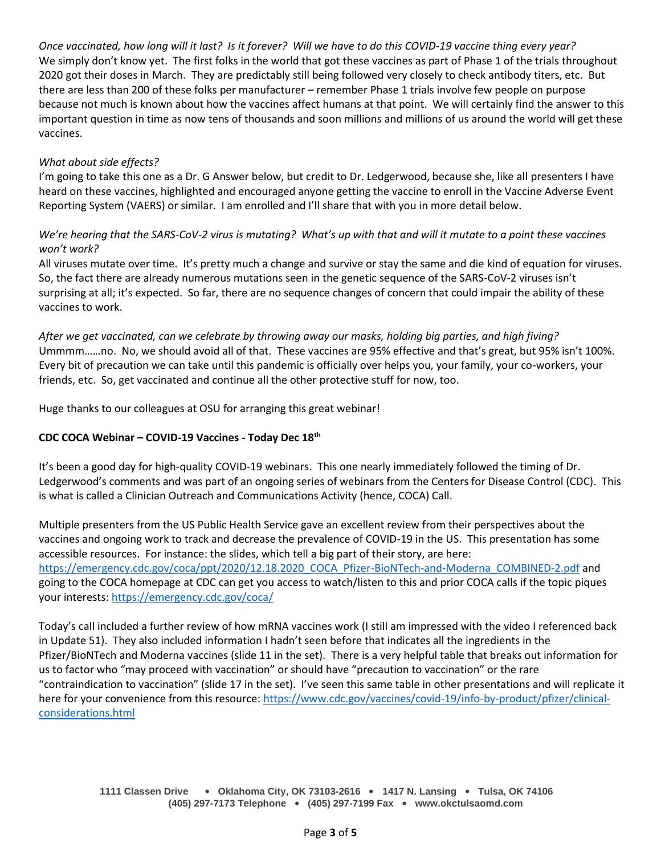*Once vaccinated, how long will it last? Is it forever? Will we have to do this COVID-19 vaccine thing every year?* We simply don't know yet. The first folks in the world that got these vaccines as part of Phase 1 of the trials throughout 2020 got their doses in March. They are predictably still being followed very closely to check antibody titers, etc. But there are less than 200 of these folks per manufacturer – remember Phase 1 trials involve few people on purpose because not much is known about how the vaccines affect humans at that point. We will certainly find the answer to this important question in time as now tens of thousands and soon millions and millions of us around the world will get these vaccines.

### *What about side effects?*

I'm going to take this one as a Dr. G Answer below, but credit to Dr. Ledgerwood, because she, like all presenters I have heard on these vaccines, highlighted and encouraged anyone getting the vaccine to enroll in the Vaccine Adverse Event Reporting System (VAERS) or similar. I am enrolled and I'll share that with you in more detail below.

## *We're hearing that the SARS-CoV-2 virus is mutating? What's up with that and will it mutate to a point these vaccines won't work?*

All viruses mutate over time. It's pretty much a change and survive or stay the same and die kind of equation for viruses. So, the fact there are already numerous mutations seen in the genetic sequence of the SARS-CoV-2 viruses isn't surprising at all; it's expected. So far, there are no sequence changes of concern that could impair the ability of these vaccines to work.

*After we get vaccinated, can we celebrate by throwing away our masks, holding big parties, and high fiving?* Ummmm……no. No, we should avoid all of that. These vaccines are 95% effective and that's great, but 95% isn't 100%. Every bit of precaution we can take until this pandemic is officially over helps you, your family, your co-workers, your friends, etc. So, get vaccinated and continue all the other protective stuff for now, too.

Huge thanks to our colleagues at OSU for arranging this great webinar!

## **CDC COCA Webinar – COVID-19 Vaccines - Today Dec 18th**

It's been a good day for high-quality COVID-19 webinars. This one nearly immediately followed the timing of Dr. Ledgerwood's comments and was part of an ongoing series of webinars from the Centers for Disease Control (CDC). This is what is called a Clinician Outreach and Communications Activity (hence, COCA) Call.

Multiple presenters from the US Public Health Service gave an excellent review from their perspectives about the vaccines and ongoing work to track and decrease the prevalence of COVID-19 in the US. This presentation has some accessible resources. For instance: the slides, which tell a big part of their story, are here: [https://emergency.cdc.gov/coca/ppt/2020/12.18.2020\\_COCA\\_Pfizer-BioNTech-and-Moderna\\_COMBINED-2.pdf](https://emergency.cdc.gov/coca/ppt/2020/12.18.2020_COCA_Pfizer-BioNTech-and-Moderna_COMBINED-2.pdf) and going to the COCA homepage at CDC can get you access to watch/listen to this and prior COCA calls if the topic piques your interests:<https://emergency.cdc.gov/coca/>

Today's call included a further review of how mRNA vaccines work (I still am impressed with the video I referenced back in Update 51). They also included information I hadn't seen before that indicates all the ingredients in the Pfizer/BioNTech and Moderna vaccines (slide 11 in the set). There is a very helpful table that breaks out information for us to factor who "may proceed with vaccination" or should have "precaution to vaccination" or the rare "contraindication to vaccination" (slide 17 in the set). I've seen this same table in other presentations and will replicate it here for your convenience from this resource: [https://www.cdc.gov/vaccines/covid-19/info-by-product/pfizer/clinical](https://www.cdc.gov/vaccines/covid-19/info-by-product/pfizer/clinical-considerations.html)[considerations.html](https://www.cdc.gov/vaccines/covid-19/info-by-product/pfizer/clinical-considerations.html)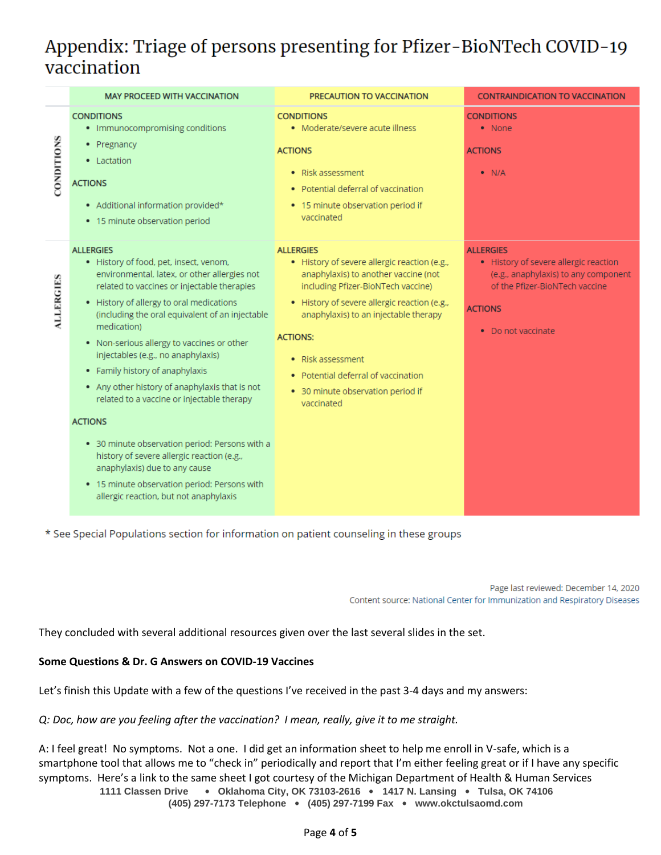# Appendix: Triage of persons presenting for Pfizer-BioNTech COVID-19 vaccination



\* See Special Populations section for information on patient counseling in these groups

Page last reviewed: December 14, 2020 Content source: National Center for Immunization and Respiratory Diseases

They concluded with several additional resources given over the last several slides in the set.

#### **Some Questions & Dr. G Answers on COVID-19 Vaccines**

Let's finish this Update with a few of the questions I've received in the past 3-4 days and my answers:

#### *Q: Doc, how are you feeling after the vaccination? I mean, really, give it to me straight.*

A: I feel great! No symptoms. Not a one. I did get an information sheet to help me enroll in V-safe, which is a smartphone tool that allows me to "check in" periodically and report that I'm either feeling great or if I have any specific symptoms. Here's a link to the same sheet I got courtesy of the Michigan Department of Health & Human Services

**1111 Classen Drive** • **Oklahoma City, OK 73103-2616** • **1417 N. Lansing** • **Tulsa, OK 74106 (405) 297-7173 Telephone** • **(405) 297-7199 Fax** • **www.okctulsaomd.com**